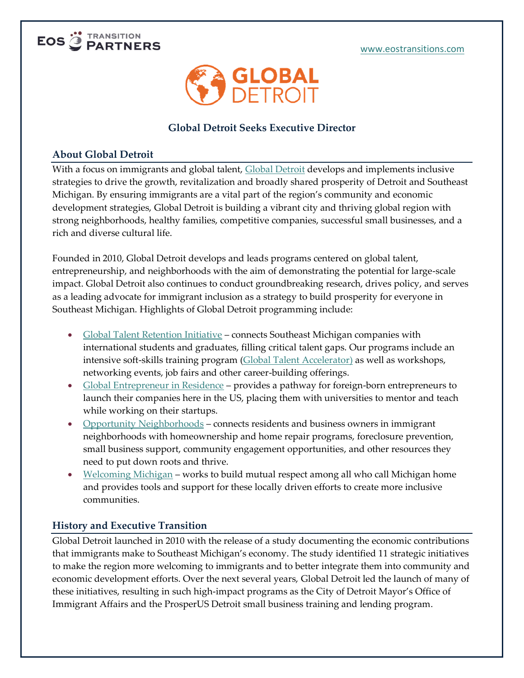



# **Global Detroit Seeks Executive Director**

# **About Global Detroit**

With a focus on immigrants and global talent, [Global Detroit](https://globaldetroitmi.org/) develops and implements inclusive strategies to drive the growth, revitalization and broadly shared prosperity of Detroit and Southeast Michigan. By ensuring immigrants are a vital part of the region's community and economic development strategies, Global Detroit is building a vibrant city and thriving global region with strong neighborhoods, healthy families, competitive companies, successful small businesses, and a rich and diverse cultural life.

Founded in 2010, Global Detroit develops and leads programs centered on global talent, entrepreneurship, and neighborhoods with the aim of demonstrating the potential for large-scale impact. Global Detroit also continues to conduct groundbreaking research, drives policy, and serves as a leading advocate for immigrant inclusion as a strategy to build prosperity for everyone in Southeast Michigan. Highlights of Global Detroit programming include:

- [Global Talent Retention Initiative](https://globaldetroitmi.org/gtri/) connects Southeast Michigan companies with international students and graduates, filling critical talent gaps. Our programs include an intensive soft-skills training program [\(Global Talent Accelerator\)](https://globaldetroitmi.org/gta/) as well as workshops, networking events, job fairs and other career-building offerings.
- [Global Entrepreneur in Residence](https://globaldetroitmi.org/geir/) provides a pathway for foreign-born entrepreneurs to launch their companies here in the US, placing them with universities to mentor and teach while working on their startups.
- [Opportunity Neighborhoods](https://globaldetroitmi.org/opportunity-neighborhoods/) connects residents and business owners in immigrant neighborhoods with homeownership and home repair programs, foreclosure prevention, small business support, community engagement opportunities, and other resources they need to put down roots and thrive.
- [Welcoming Michigan](https://globaldetroitmi.org/welcoming-michigan/) works to build mutual respect among all who call Michigan home and provides tools and support for these locally driven efforts to create more inclusive communities.

# **History and Executive Transition**

Global Detroit launched in 2010 with the release of a study documenting the economic contributions that immigrants make to Southeast Michigan's economy. The study identified 11 strategic initiatives to make the region more welcoming to immigrants and to better integrate them into community and economic development efforts. Over the next several years, Global Detroit led the launch of many of these initiatives, resulting in such high-impact programs as the City of Detroit Mayor's Office of Immigrant Affairs and the ProsperUS Detroit small business training and lending program.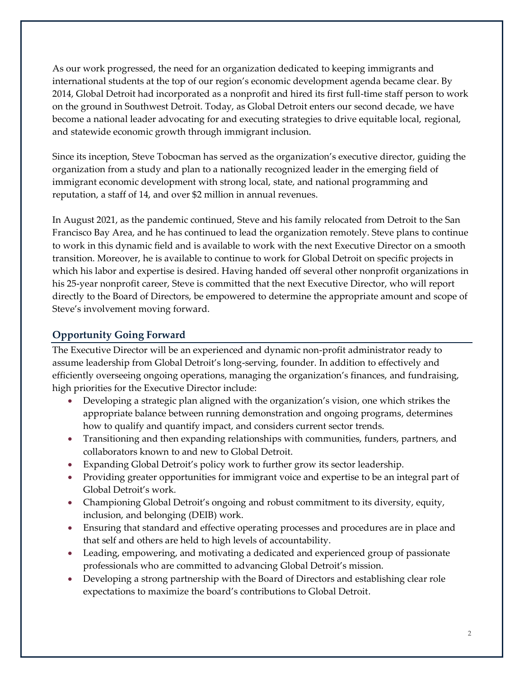As our work progressed, the need for an organization dedicated to keeping immigrants and international students at the top of our region's economic development agenda became clear. By 2014, Global Detroit had incorporated as a nonprofit and hired its first full-time staff person to work on the ground in Southwest Detroit. Today, as Global Detroit enters our second decade, we have become a national leader advocating for and executing strategies to drive equitable local, regional, and statewide economic growth through immigrant inclusion.

Since its inception, Steve Tobocman has served as the organization's executive director, guiding the organization from a study and plan to a nationally recognized leader in the emerging field of immigrant economic development with strong local, state, and national programming and reputation, a staff of 14, and over \$2 million in annual revenues.

In August 2021, as the pandemic continued, Steve and his family relocated from Detroit to the San Francisco Bay Area, and he has continued to lead the organization remotely. Steve plans to continue to work in this dynamic field and is available to work with the next Executive Director on a smooth transition. Moreover, he is available to continue to work for Global Detroit on specific projects in which his labor and expertise is desired. Having handed off several other nonprofit organizations in his 25-year nonprofit career, Steve is committed that the next Executive Director, who will report directly to the Board of Directors, be empowered to determine the appropriate amount and scope of Steve's involvement moving forward.

# **Opportunity Going Forward**

The Executive Director will be an experienced and dynamic non-profit administrator ready to assume leadership from Global Detroit's long-serving, founder. In addition to effectively and efficiently overseeing ongoing operations, managing the organization's finances, and fundraising, high priorities for the Executive Director include:

- Developing a strategic plan aligned with the organization's vision, one which strikes the appropriate balance between running demonstration and ongoing programs, determines how to qualify and quantify impact, and considers current sector trends.
- Transitioning and then expanding relationships with communities, funders, partners, and collaborators known to and new to Global Detroit.
- Expanding Global Detroit's policy work to further grow its sector leadership.
- Providing greater opportunities for immigrant voice and expertise to be an integral part of Global Detroit's work.
- Championing Global Detroit's ongoing and robust commitment to its diversity, equity, inclusion, and belonging (DEIB) work.
- Ensuring that standard and effective operating processes and procedures are in place and that self and others are held to high levels of accountability.
- Leading, empowering, and motivating a dedicated and experienced group of passionate professionals who are committed to advancing Global Detroit's mission.
- Developing a strong partnership with the Board of Directors and establishing clear role expectations to maximize the board's contributions to Global Detroit.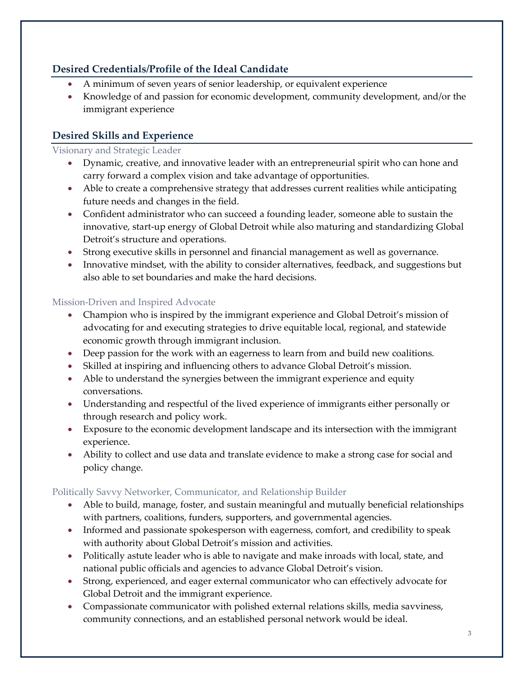# **Desired Credentials/Profile of the Ideal Candidate**

- A minimum of seven years of senior leadership, or equivalent experience
- Knowledge of and passion for economic development, community development, and/or the immigrant experience

# **Desired Skills and Experience**

#### Visionary and Strategic Leader

- Dynamic, creative, and innovative leader with an entrepreneurial spirit who can hone and carry forward a complex vision and take advantage of opportunities.
- Able to create a comprehensive strategy that addresses current realities while anticipating future needs and changes in the field.
- Confident administrator who can succeed a founding leader, someone able to sustain the innovative, start-up energy of Global Detroit while also maturing and standardizing Global Detroit's structure and operations.
- Strong executive skills in personnel and financial management as well as governance.
- Innovative mindset, with the ability to consider alternatives, feedback, and suggestions but also able to set boundaries and make the hard decisions.

# Mission-Driven and Inspired Advocate

- Champion who is inspired by the immigrant experience and Global Detroit's mission of advocating for and executing strategies to drive equitable local, regional, and statewide economic growth through immigrant inclusion.
- Deep passion for the work with an eagerness to learn from and build new coalitions.
- Skilled at inspiring and influencing others to advance Global Detroit's mission.
- Able to understand the synergies between the immigrant experience and equity conversations.
- Understanding and respectful of the lived experience of immigrants either personally or through research and policy work.
- Exposure to the economic development landscape and its intersection with the immigrant experience.
- Ability to collect and use data and translate evidence to make a strong case for social and policy change.

# Politically Savvy Networker, Communicator, and Relationship Builder

- Able to build, manage, foster, and sustain meaningful and mutually beneficial relationships with partners, coalitions, funders, supporters, and governmental agencies.
- Informed and passionate spokesperson with eagerness, comfort, and credibility to speak with authority about Global Detroit's mission and activities.
- Politically astute leader who is able to navigate and make inroads with local, state, and national public officials and agencies to advance Global Detroit's vision.
- Strong, experienced, and eager external communicator who can effectively advocate for Global Detroit and the immigrant experience.
- Compassionate communicator with polished external relations skills, media savviness, community connections, and an established personal network would be ideal.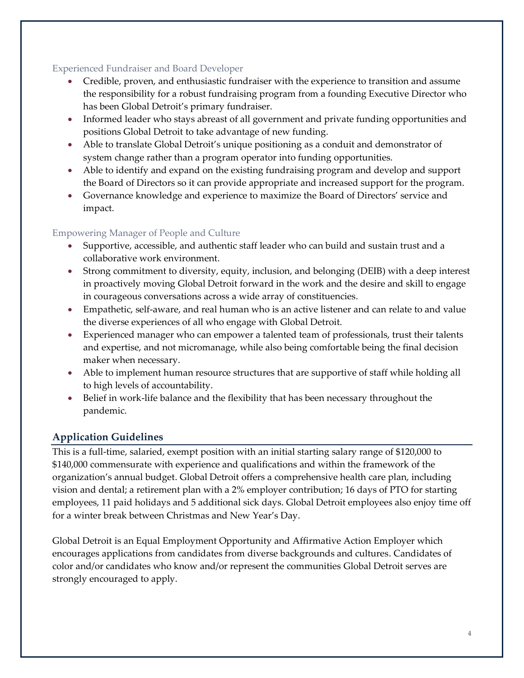#### Experienced Fundraiser and Board Developer

- Credible, proven, and enthusiastic fundraiser with the experience to transition and assume the responsibility for a robust fundraising program from a founding Executive Director who has been Global Detroit's primary fundraiser.
- Informed leader who stays abreast of all government and private funding opportunities and positions Global Detroit to take advantage of new funding.
- Able to translate Global Detroit's unique positioning as a conduit and demonstrator of system change rather than a program operator into funding opportunities.
- Able to identify and expand on the existing fundraising program and develop and support the Board of Directors so it can provide appropriate and increased support for the program.
- Governance knowledge and experience to maximize the Board of Directors' service and impact.

# Empowering Manager of People and Culture

- Supportive, accessible, and authentic staff leader who can build and sustain trust and a collaborative work environment.
- Strong commitment to diversity, equity, inclusion, and belonging (DEIB) with a deep interest in proactively moving Global Detroit forward in the work and the desire and skill to engage in courageous conversations across a wide array of constituencies.
- Empathetic, self-aware, and real human who is an active listener and can relate to and value the diverse experiences of all who engage with Global Detroit.
- Experienced manager who can empower a talented team of professionals, trust their talents and expertise, and not micromanage, while also being comfortable being the final decision maker when necessary.
- Able to implement human resource structures that are supportive of staff while holding all to high levels of accountability.
- Belief in work-life balance and the flexibility that has been necessary throughout the pandemic.

# **Application Guidelines**

This is a full-time, salaried, exempt position with an initial starting salary range of \$120,000 to \$140,000 commensurate with experience and qualifications and within the framework of the organization's annual budget. Global Detroit offers a comprehensive health care plan, including vision and dental; a retirement plan with a 2% employer contribution; 16 days of PTO for starting employees, 11 paid holidays and 5 additional sick days. Global Detroit employees also enjoy time off for a winter break between Christmas and New Year's Day.

Global Detroit is an Equal Employment Opportunity and Affirmative Action Employer which encourages applications from candidates from diverse backgrounds and cultures. Candidates of color and/or candidates who know and/or represent the communities Global Detroit serves are strongly encouraged to apply.